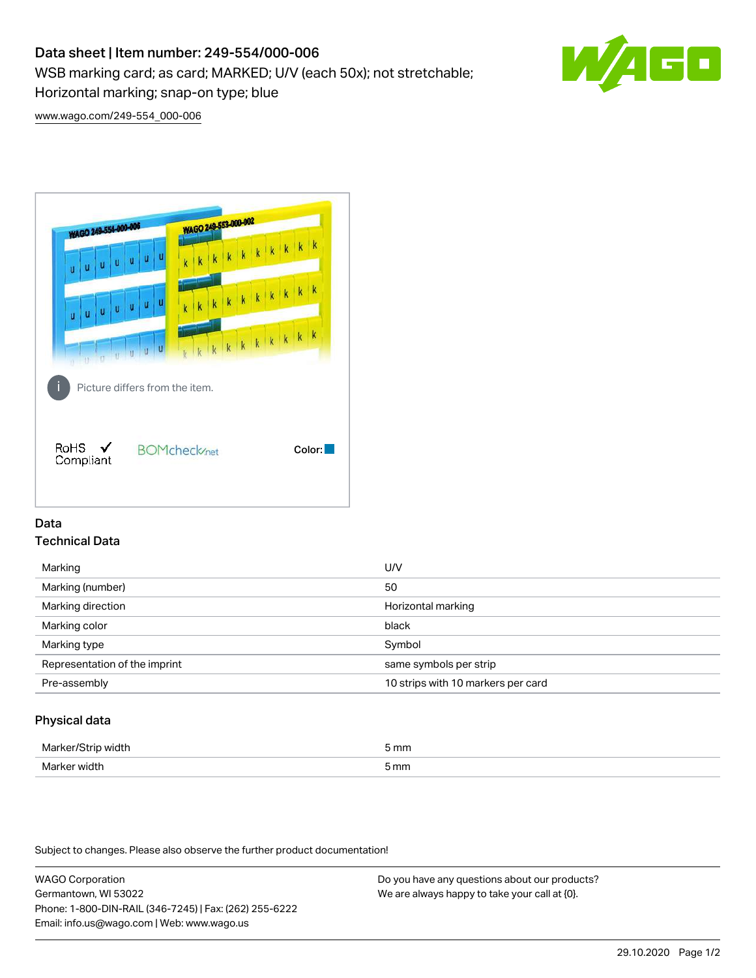# Data sheet | Item number: 249-554/000-006

WSB marking card; as card; MARKED; U/V (each 50x); not stretchable;

Horizontal marking; snap-on type; blue



[www.wago.com/249-554\\_000-006](http://www.wago.com/249-554_000-006)



## Data Technical Data

| Marking                       | U/V                                |
|-------------------------------|------------------------------------|
| Marking (number)              | 50                                 |
| Marking direction             | Horizontal marking                 |
| Marking color                 | black                              |
| Marking type                  | Symbol                             |
| Representation of the imprint | same symbols per strip             |
| Pre-assembly                  | 10 strips with 10 markers per card |
|                               |                                    |

## Physical data

| Iner.        | 5 mm                |
|--------------|---------------------|
| Mor<br>widtl | mm<br><u>JIIIII</u> |

Subject to changes. Please also observe the further product documentation!

WAGO Corporation Germantown, WI 53022 Phone: 1-800-DIN-RAIL (346-7245) | Fax: (262) 255-6222 Email: info.us@wago.com | Web: www.wago.us Do you have any questions about our products? We are always happy to take your call at {0}.

29.10.2020 Page 1/2